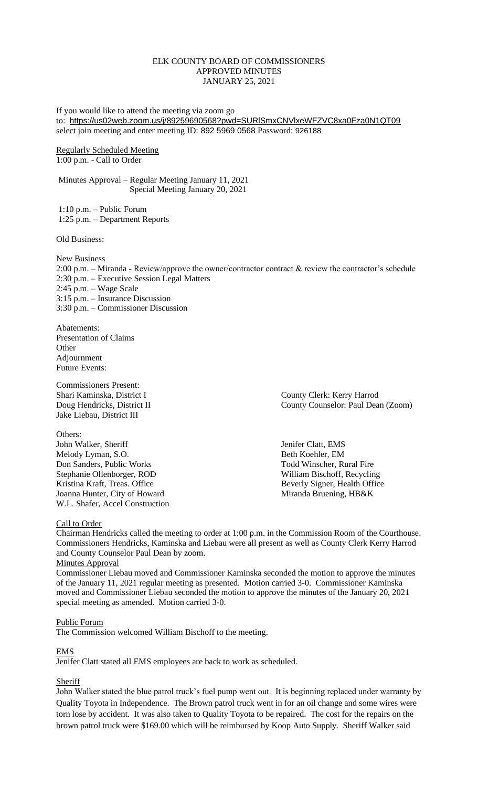### ELK COUNTY BOARD OF COMMISSIONERS APPROVED MINUTES JANUARY 25, 2021

If you would like to attend the meeting via zoom go to: <https://us02web.zoom.us/j/89259690568?pwd=SURlSmxCNVlxeWFZVC8xa0Fza0N1QT09> select join meeting and enter meeting ID: 892 5969 0568 Password: 926188

Regularly Scheduled Meeting 1:00 p.m. - Call to Order

Minutes Approval – Regular Meeting January 11, 2021 Special Meeting January 20, 2021

1:10 p.m. – Public Forum 1:25 p.m. – Department Reports

Old Business:

New Business

2:00 p.m. – Miranda - Review/approve the owner/contractor contract & review the contractor's schedule 2:30 p.m. – Executive Session Legal Matters 2:45 p.m. – Wage Scale 3:15 p.m. – Insurance Discussion 3:30 p.m. – Commissioner Discussion

Abatements: Presentation of Claims **Other** Adjournment Future Events:

Commissioners Present: Jake Liebau, District III

Others: John Walker, Sheriff Jenifer Clatt, EMS Melody Lyman, S.O. Beth Koehler, EM Don Sanders, Public Works Todd Winscher, Rural Fire Stephanie Ollenborger, ROD William Bischoff, Recycling<br>
Kristina Kraft, Treas. Office Beverly Signer, Health Office Joanna Hunter, City of Howard Miranda Bruening, HB&K W.L. Shafer, Accel Construction

Shari Kaminska, District I County Clerk: Kerry Harrod Doug Hendricks, District II County Counselor: Paul Dean (Zoom)

Beverly Signer, Health Office

### Call to Order

Chairman Hendricks called the meeting to order at 1:00 p.m. in the Commission Room of the Courthouse. Commissioners Hendricks, Kaminska and Liebau were all present as well as County Clerk Kerry Harrod and County Counselor Paul Dean by zoom.

### Minutes Approval

Commissioner Liebau moved and Commissioner Kaminska seconded the motion to approve the minutes of the January 11, 2021 regular meeting as presented. Motion carried 3-0. Commissioner Kaminska moved and Commissioner Liebau seconded the motion to approve the minutes of the January 20, 2021 special meeting as amended. Motion carried 3-0.

### Public Forum

The Commission welcomed William Bischoff to the meeting.

### EMS

Jenifer Clatt stated all EMS employees are back to work as scheduled.

# **Sheriff**

John Walker stated the blue patrol truck's fuel pump went out. It is beginning replaced under warranty by Quality Toyota in Independence. The Brown patrol truck went in for an oil change and some wires were torn lose by accident. It was also taken to Quality Toyota to be repaired. The cost for the repairs on the brown patrol truck were \$169.00 which will be reimbursed by Koop Auto Supply. Sheriff Walker said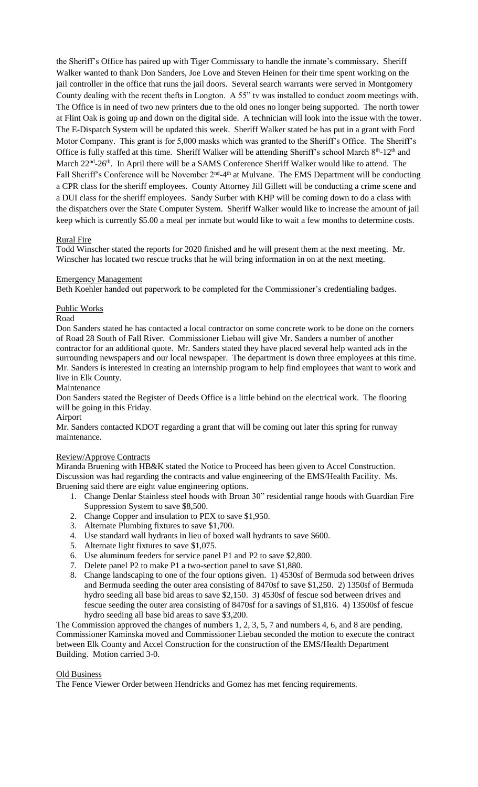the Sheriff's Office has paired up with Tiger Commissary to handle the inmate's commissary. Sheriff Walker wanted to thank Don Sanders, Joe Love and Steven Heinen for their time spent working on the jail controller in the office that runs the jail doors. Several search warrants were served in Montgomery County dealing with the recent thefts in Longton. A 55" tv was installed to conduct zoom meetings with. The Office is in need of two new printers due to the old ones no longer being supported. The north tower at Flint Oak is going up and down on the digital side. A technician will look into the issue with the tower. The E-Dispatch System will be updated this week. Sheriff Walker stated he has put in a grant with Ford Motor Company. This grant is for 5,000 masks which was granted to the Sheriff's Office. The Sheriff's Office is fully staffed at this time. Sheriff Walker will be attending Sheriff's school March 8<sup>th</sup>-12<sup>th</sup> and March 22<sup>nd</sup>-26<sup>th</sup>. In April there will be a SAMS Conference Sheriff Walker would like to attend. The Fall Sheriff's Conference will be November 2<sup>nd</sup>-4<sup>th</sup> at Mulvane. The EMS Department will be conducting a CPR class for the sheriff employees. County Attorney Jill Gillett will be conducting a crime scene and a DUI class for the sheriff employees. Sandy Surber with KHP will be coming down to do a class with the dispatchers over the State Computer System. Sheriff Walker would like to increase the amount of jail keep which is currently \$5.00 a meal per inmate but would like to wait a few months to determine costs.

### Rural Fire

Todd Winscher stated the reports for 2020 finished and he will present them at the next meeting. Mr. Winscher has located two rescue trucks that he will bring information in on at the next meeting.

### Emergency Management

Beth Koehler handed out paperwork to be completed for the Commissioner's credentialing badges.

### Public Works

Road

Don Sanders stated he has contacted a local contractor on some concrete work to be done on the corners of Road 28 South of Fall River. Commissioner Liebau will give Mr. Sanders a number of another contractor for an additional quote. Mr. Sanders stated they have placed several help wanted ads in the surrounding newspapers and our local newspaper. The department is down three employees at this time. Mr. Sanders is interested in creating an internship program to help find employees that want to work and live in Elk County.

#### Maintenance

Don Sanders stated the Register of Deeds Office is a little behind on the electrical work. The flooring will be going in this Friday.

### Airport

Mr. Sanders contacted KDOT regarding a grant that will be coming out later this spring for runway maintenance.

### Review/Approve Contracts

Miranda Bruening with HB&K stated the Notice to Proceed has been given to Accel Construction. Discussion was had regarding the contracts and value engineering of the EMS/Health Facility. Ms. Bruening said there are eight value engineering options.

- 1. Change Denlar Stainless steel hoods with Broan 30" residential range hoods with Guardian Fire Suppression System to save \$8,500.
- 2. Change Copper and insulation to PEX to save \$1,950.
- 3. Alternate Plumbing fixtures to save \$1,700.
- 4. Use standard wall hydrants in lieu of boxed wall hydrants to save \$600.
- 5. Alternate light fixtures to save \$1,075.
- 6. Use aluminum feeders for service panel P1 and P2 to save \$2,800.
- 7. Delete panel P2 to make P1 a two-section panel to save \$1,880.
- 8. Change landscaping to one of the four options given. 1) 4530sf of Bermuda sod between drives and Bermuda seeding the outer area consisting of 8470sf to save \$1,250. 2) 1350sf of Bermuda hydro seeding all base bid areas to save \$2,150. 3) 4530sf of fescue sod between drives and fescue seeding the outer area consisting of 8470sf for a savings of \$1,816. 4) 13500sf of fescue hydro seeding all base bid areas to save \$3,200.

The Commission approved the changes of numbers 1, 2, 3, 5, 7 and numbers 4, 6, and 8 are pending. Commissioner Kaminska moved and Commissioner Liebau seconded the motion to execute the contract between Elk County and Accel Construction for the construction of the EMS/Health Department Building. Motion carried 3-0.

### Old Business

The Fence Viewer Order between Hendricks and Gomez has met fencing requirements.